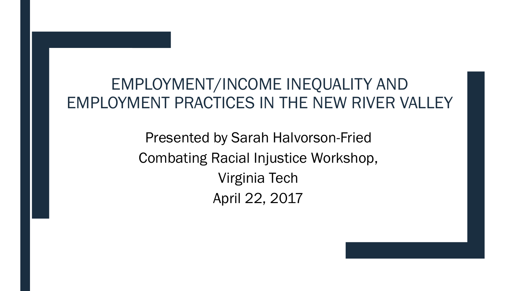#### EMPLOYMENT/INCOME INEQUALITY AND EMPLOYMENT PRACTICES IN THE NEW RIVER VALLEY

Presented by Sarah Halvorson-Fried Combating Racial Injustice Workshop, Virginia Tech April 22, 2017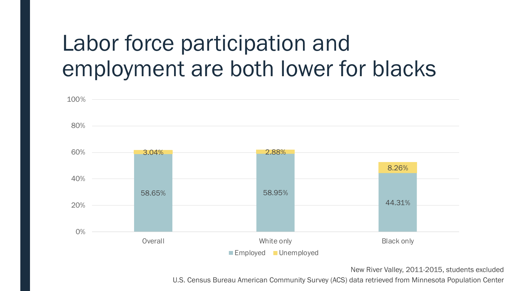## Labor force participation and employment are both lower for blacks



New River Valley, 2011-2015, students excluded

U.S. Census Bureau American Community Survey (ACS) data retrieved from Minnesota Population Center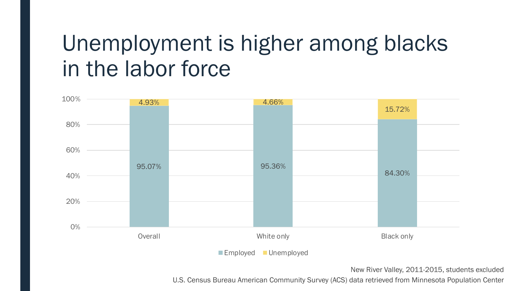## Unemployment is higher among blacks in the labor force



U.S. Census Bureau American Community Survey (ACS) data retrieved from Minnesota Population Center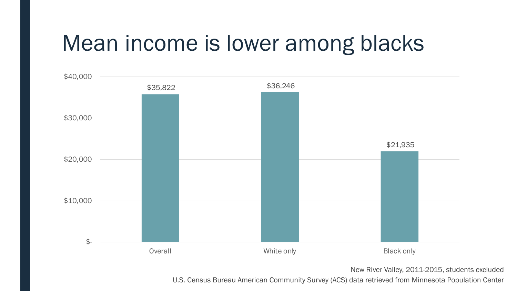## Mean income is lower among blacks



New River Valley, 2011-2015, students excluded

U.S. Census Bureau American Community Survey (ACS) data retrieved from Minnesota Population Center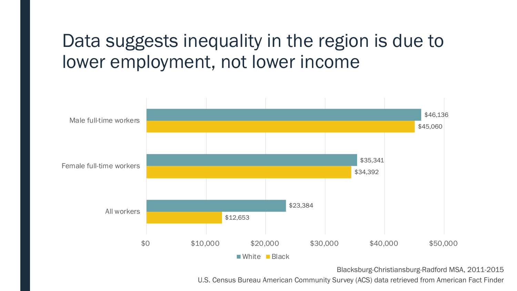### Data suggests inequality in the region is due to lower employment, not lower income



Blacksburg-Christiansburg-Radford MSA, 2011-2015

U.S. Census Bureau American Community Survey (ACS) data retrieved from American Fact Finder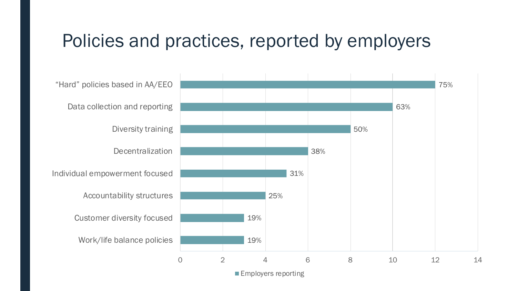### Policies and practices, reported by employers



**Employers reporting**